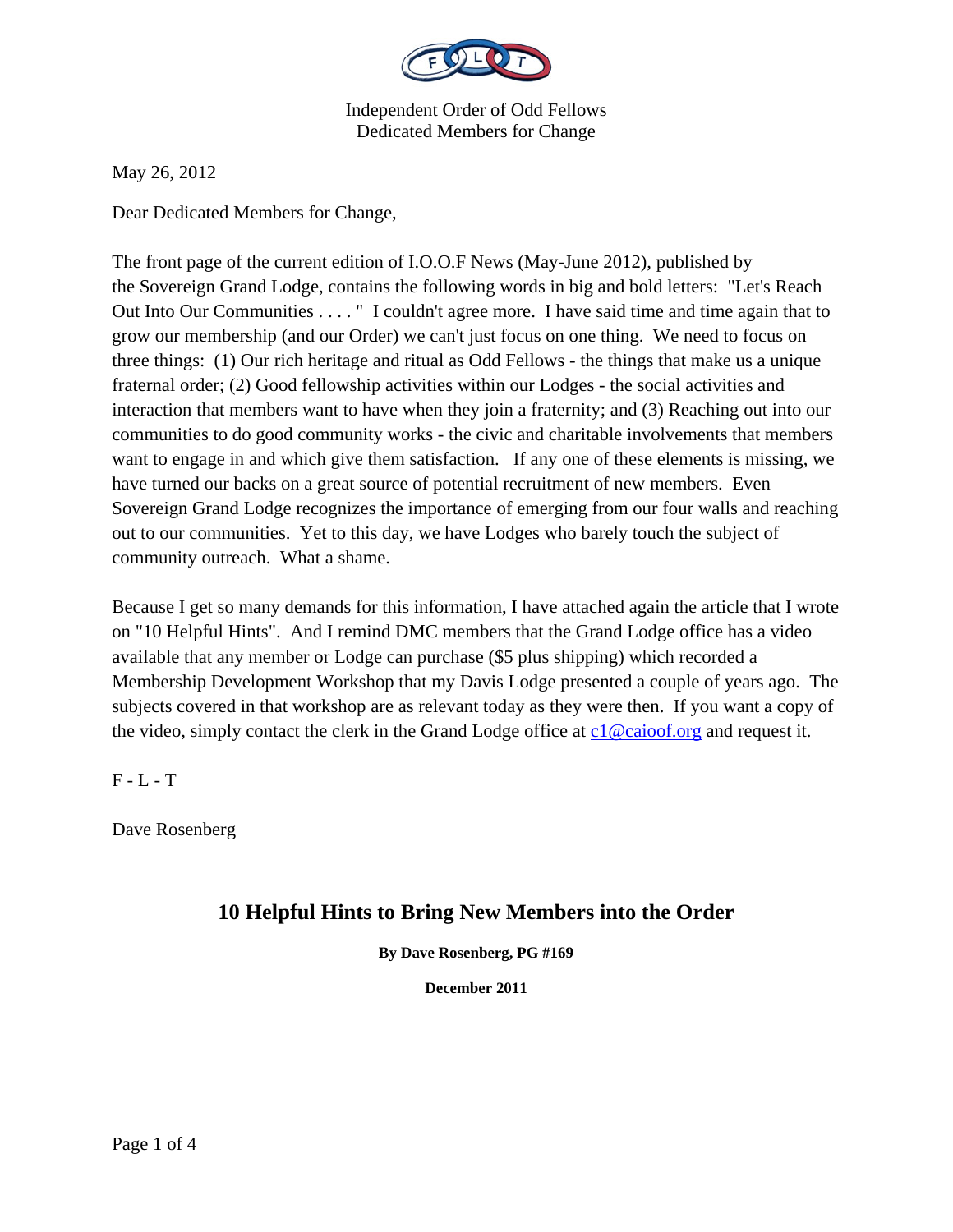

May 26, 2012

Dear Dedicated Members for Change,

The front page of the current edition of I.O.O.F News (May-June 2012), published by the Sovereign Grand Lodge, contains the following words in big and bold letters: "Let's Reach Out Into Our Communities . . . . " I couldn't agree more. I have said time and time again that to grow our membership (and our Order) we can't just focus on one thing. We need to focus on three things: (1) Our rich heritage and ritual as Odd Fellows - the things that make us a unique fraternal order; (2) Good fellowship activities within our Lodges - the social activities and interaction that members want to have when they join a fraternity; and (3) Reaching out into our communities to do good community works - the civic and charitable involvements that members want to engage in and which give them satisfaction. If any one of these elements is missing, we have turned our backs on a great source of potential recruitment of new members. Even Sovereign Grand Lodge recognizes the importance of emerging from our four walls and reaching out to our communities. Yet to this day, we have Lodges who barely touch the subject of community outreach. What a shame.

Because I get so many demands for this information, I have attached again the article that I wrote on "10 Helpful Hints". And I remind DMC members that the Grand Lodge office has a video available that any member or Lodge can purchase (\$5 plus shipping) which recorded a Membership Development Workshop that my Davis Lodge presented a couple of years ago. The subjects covered in that workshop are as relevant today as they were then. If you want a copy of the video, simply contact the clerk in the Grand Lodge office at  $c1@caioof.org$  and request it.

 $F - L - T$ 

Dave Rosenberg

## **10 Helpful Hints to Bring New Members into the Order**

**By Dave Rosenberg, PG #169** 

**December 2011**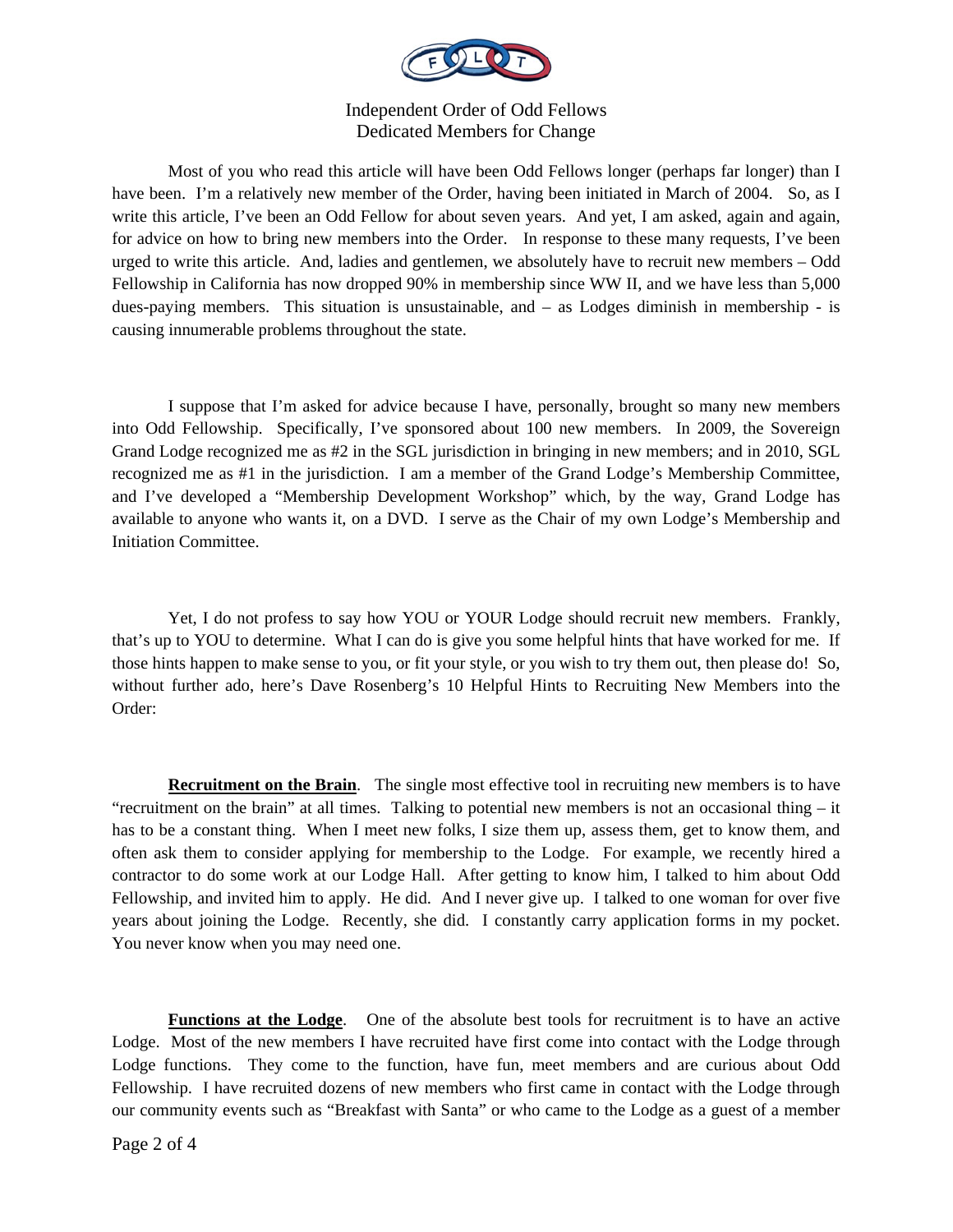

Most of you who read this article will have been Odd Fellows longer (perhaps far longer) than I have been. I'm a relatively new member of the Order, having been initiated in March of 2004. So, as I write this article, I've been an Odd Fellow for about seven years. And yet, I am asked, again and again, for advice on how to bring new members into the Order. In response to these many requests, I've been urged to write this article. And, ladies and gentlemen, we absolutely have to recruit new members – Odd Fellowship in California has now dropped 90% in membership since WW II, and we have less than 5,000 dues-paying members. This situation is unsustainable, and – as Lodges diminish in membership - is causing innumerable problems throughout the state.

 I suppose that I'm asked for advice because I have, personally, brought so many new members into Odd Fellowship. Specifically, I've sponsored about 100 new members. In 2009, the Sovereign Grand Lodge recognized me as #2 in the SGL jurisdiction in bringing in new members; and in 2010, SGL recognized me as #1 in the jurisdiction. I am a member of the Grand Lodge's Membership Committee, and I've developed a "Membership Development Workshop" which, by the way, Grand Lodge has available to anyone who wants it, on a DVD. I serve as the Chair of my own Lodge's Membership and Initiation Committee.

 Yet, I do not profess to say how YOU or YOUR Lodge should recruit new members. Frankly, that's up to YOU to determine. What I can do is give you some helpful hints that have worked for me. If those hints happen to make sense to you, or fit your style, or you wish to try them out, then please do! So, without further ado, here's Dave Rosenberg's 10 Helpful Hints to Recruiting New Members into the Order:

**Recruitment on the Brain.** The single most effective tool in recruiting new members is to have "recruitment on the brain" at all times. Talking to potential new members is not an occasional thing – it has to be a constant thing. When I meet new folks, I size them up, assess them, get to know them, and often ask them to consider applying for membership to the Lodge. For example, we recently hired a contractor to do some work at our Lodge Hall. After getting to know him, I talked to him about Odd Fellowship, and invited him to apply. He did. And I never give up. I talked to one woman for over five years about joining the Lodge. Recently, she did. I constantly carry application forms in my pocket. You never know when you may need one.

**Functions at the Lodge**. One of the absolute best tools for recruitment is to have an active Lodge. Most of the new members I have recruited have first come into contact with the Lodge through Lodge functions. They come to the function, have fun, meet members and are curious about Odd Fellowship. I have recruited dozens of new members who first came in contact with the Lodge through our community events such as "Breakfast with Santa" or who came to the Lodge as a guest of a member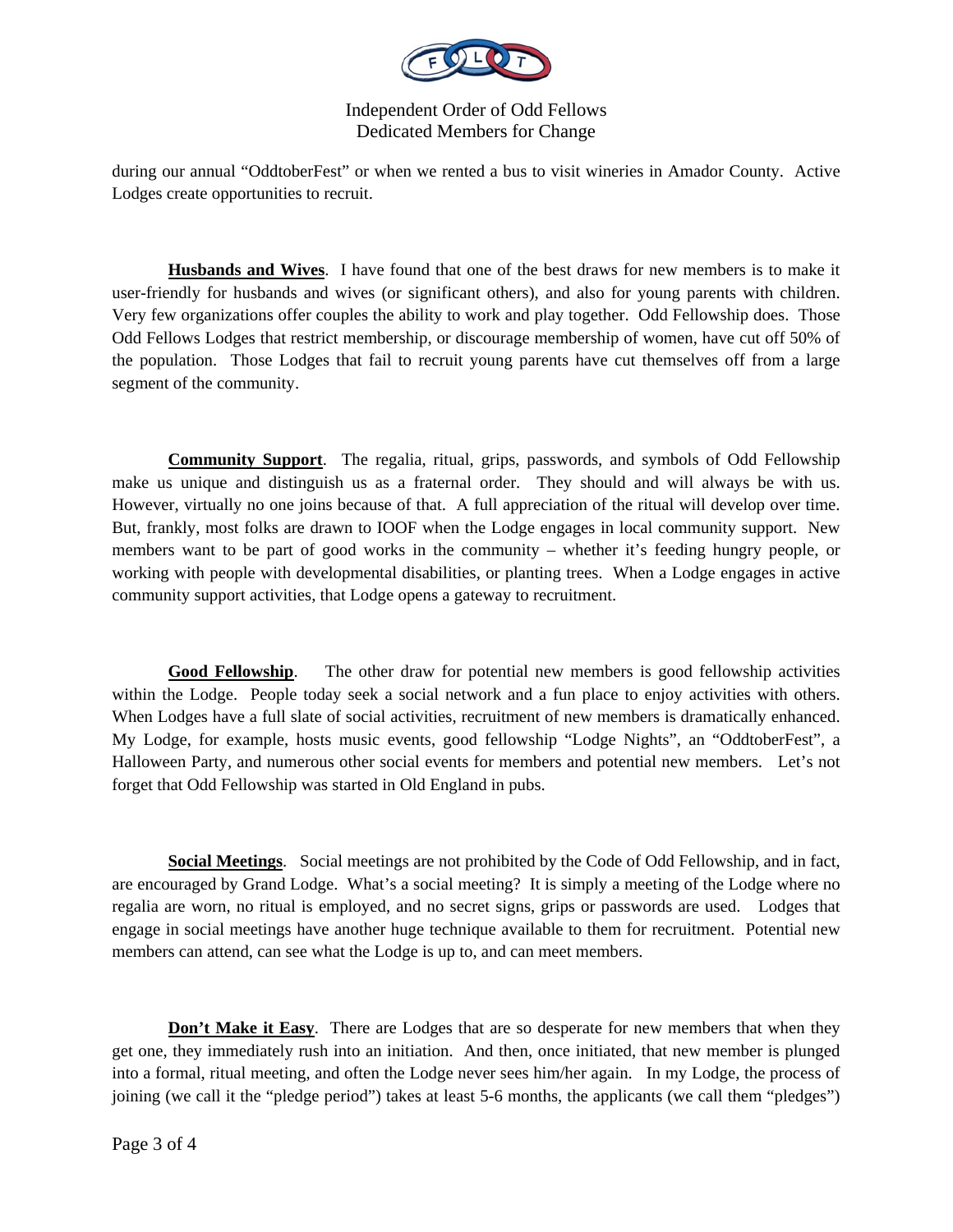

during our annual "OddtoberFest" or when we rented a bus to visit wineries in Amador County. Active Lodges create opportunities to recruit.

**Husbands and Wives**. I have found that one of the best draws for new members is to make it user-friendly for husbands and wives (or significant others), and also for young parents with children. Very few organizations offer couples the ability to work and play together. Odd Fellowship does. Those Odd Fellows Lodges that restrict membership, or discourage membership of women, have cut off 50% of the population. Those Lodges that fail to recruit young parents have cut themselves off from a large segment of the community.

**Community Support**. The regalia, ritual, grips, passwords, and symbols of Odd Fellowship make us unique and distinguish us as a fraternal order. They should and will always be with us. However, virtually no one joins because of that. A full appreciation of the ritual will develop over time. But, frankly, most folks are drawn to IOOF when the Lodge engages in local community support. New members want to be part of good works in the community – whether it's feeding hungry people, or working with people with developmental disabilities, or planting trees. When a Lodge engages in active community support activities, that Lodge opens a gateway to recruitment.

**Good Fellowship**. The other draw for potential new members is good fellowship activities within the Lodge. People today seek a social network and a fun place to enjoy activities with others. When Lodges have a full slate of social activities, recruitment of new members is dramatically enhanced. My Lodge, for example, hosts music events, good fellowship "Lodge Nights", an "OddtoberFest", a Halloween Party, and numerous other social events for members and potential new members. Let's not forget that Odd Fellowship was started in Old England in pubs.

**Social Meetings**. Social meetings are not prohibited by the Code of Odd Fellowship, and in fact, are encouraged by Grand Lodge. What's a social meeting? It is simply a meeting of the Lodge where no regalia are worn, no ritual is employed, and no secret signs, grips or passwords are used. Lodges that engage in social meetings have another huge technique available to them for recruitment. Potential new members can attend, can see what the Lodge is up to, and can meet members.

**Don't Make it Easy.** There are Lodges that are so desperate for new members that when they get one, they immediately rush into an initiation. And then, once initiated, that new member is plunged into a formal, ritual meeting, and often the Lodge never sees him/her again. In my Lodge, the process of joining (we call it the "pledge period") takes at least 5-6 months, the applicants (we call them "pledges")